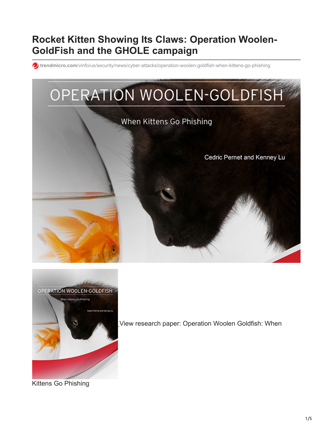# **Rocket Kitten Showing Its Claws: Operation Woolen-GoldFish and the GHOLE campaign**

**trendmicro.com**[/vinfo/us/security/news/cyber-attacks/operation-woolen-goldfish-when-kittens-go-phishing](https://www.trendmicro.com/vinfo/us/security/news/cyber-attacks/operation-woolen-goldfish-when-kittens-go-phishing)





[V](https://documents.trendmicro.com/assets/wp/wp-operation-woolen-goldfish.pdf)iew research paper: Operation Woolen Goldfish: When

Kittens Go Phishing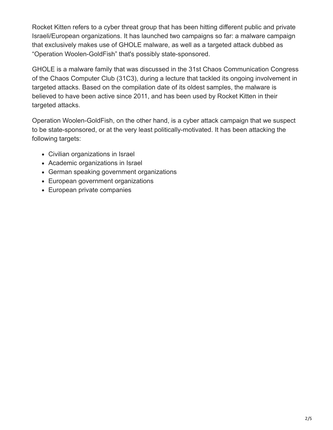Rocket Kitten refers to a cyber threat group that has been hitting different public and private Israeli/European organizations. It has launched two campaigns so far: a malware campaign that exclusively makes use of GHOLE malware, as well as a targeted attack dubbed as "Operation Woolen-GoldFish" that's possibly state-sponsored.

GHOLE is a malware family that was discussed in the 31st Chaos Communication Congress of the Chaos Computer Club (31C3), during a lecture that tackled its ongoing involvement in targeted attacks. Based on the compilation date of its oldest samples, the malware is believed to have been active since 2011, and has been used by Rocket Kitten in their targeted attacks.

Operation Woolen-GoldFish, on the other hand, is a cyber attack campaign that we suspect to be state-sponsored, or at the very least politically-motivated. It has been attacking the following targets:

- Civilian organizations in Israel
- Academic organizations in Israel
- German speaking government organizations
- European government organizations
- European private companies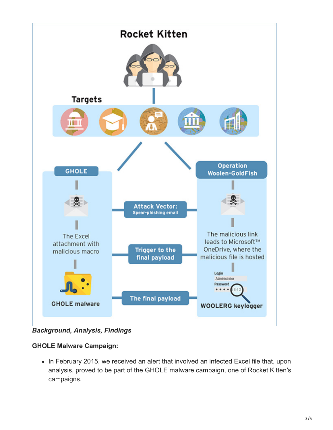

*Background, Analysis, Findings*

## **GHOLE Malware Campaign:**

• In February 2015, we received an alert that involved an infected Excel file that, upon analysis, proved to be part of the GHOLE malware campaign, one of Rocket Kitten's campaigns.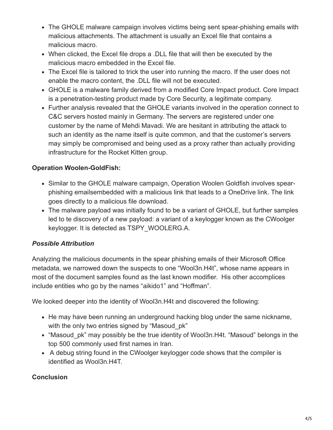- The GHOLE malware campaign involves victims being sent spear-phishing emails with malicious attachments. The attachment is usually an Excel file that contains a malicious macro.
- When clicked, the Excel file drops a .DLL file that will then be executed by the malicious macro embedded in the Excel file.
- The Excel file is tailored to trick the user into running the macro. If the user does not enable the macro content, the .DLL file will not be executed.
- GHOLE is a malware family derived from a modified Core Impact product. Core Impact is a penetration-testing product made by Core Security, a legitimate company.
- Further analysis revealed that the GHOLE variants involved in the operation connect to C&C servers hosted mainly in Germany. The servers are registered under one customer by the name of Mehdi Mavadi. We are hesitant in attributing the attack to such an identity as the name itself is quite common, and that the customer's servers may simply be compromised and being used as a proxy rather than actually providing infrastructure for the Rocket Kitten group.

## **Operation Woolen-GoldFish:**

- Similar to the GHOLE malware campaign, Operation Woolen Goldfish involves spearphishing emailsembedded with a malicious link that leads to a OneDrive link. The link goes directly to a malicious file download.
- The malware payload was initially found to be a variant of GHOLE, but further samples led to te discovery of a new payload: a variant of a keylogger known as the CWoolger keylogger. It is detected as TSPY\_WOOLERG.A.

## *Possible Attribution*

Analyzing the malicious documents in the spear phishing emails of their Microsoft Office metadata, we narrowed down the suspects to one "Wool3n.H4t", whose name appears in most of the document samples found as the last known modifier. His other accomplices include entities who go by the names "aikido1" and "Hoffman".

We looked deeper into the identity of Wool3n.H4t and discovered the following:

- He may have been running an underground hacking blog under the same nickname, with the only two entries signed by "Masoud pk"
- "Masoud pk" may possibly be the true identity of Wool3n.H4t. "Masoud" belongs in the top 500 commonly used first names in Iran.
- A debug string found in the CWoolger keylogger code shows that the compiler is identified as Wool3n.H4T.

#### **Conclusion**